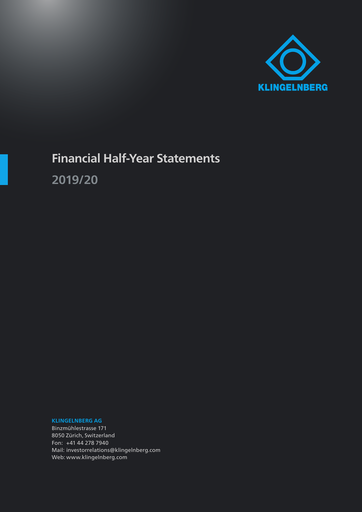

# **Financial Half-Year Statements**

**2019/20**

**KLINGELNBERG AG**

Binzmühlestrasse 171 8050 Zürich, Switzerland Fon: +41 44 278 7940 Mail: investorrelations@klingelnberg.com Web: www.klingelnberg.com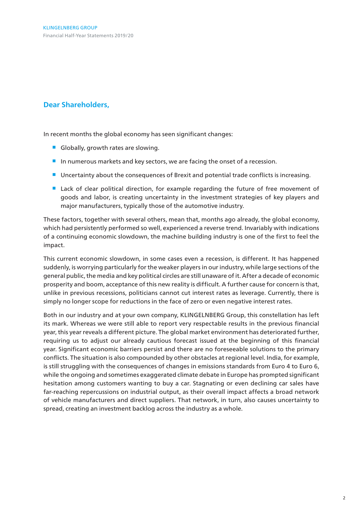# **Dear Shareholders,**

In recent months the global economy has seen significant changes:

- Globally, growth rates are slowing.
- In numerous markets and key sectors, we are facing the onset of a recession.
- Uncertainty about the consequences of Brexit and potential trade conflicts is increasing.
- **Lack of clear political direction, for example regarding the future of free movement of** goods and labor, is creating uncertainty in the investment strategies of key players and major manufacturers, typically those of the automotive industry.

These factors, together with several others, mean that, months ago already, the global economy, which had persistently performed so well, experienced a reverse trend. Invariably with indications of a continuing economic slowdown, the machine building industry is one of the first to feel the impact.

This current economic slowdown, in some cases even a recession, is different. It has happened suddenly, is worrying particularly for the weaker players in our industry, while large sections of the general public, the media and key political circles are still unaware of it. After a decade of economic prosperity and boom, acceptance of this new reality is difficult. A further cause for concern is that, unlike in previous recessions, politicians cannot cut interest rates as leverage. Currently, there is simply no longer scope for reductions in the face of zero or even negative interest rates.

Both in our industry and at your own company, KLINGELNBERG Group, this constellation has left its mark. Whereas we were still able to report very respectable results in the previous financial year, this year reveals a different picture. The global market environment has deteriorated further, requiring us to adjust our already cautious forecast issued at the beginning of this financial year. Significant economic barriers persist and there are no foreseeable solutions to the primary conflicts. The situation is also compounded by other obstacles at regional level. India, for example, is still struggling with the consequences of changes in emissions standards from Euro 4 to Euro 6, while the ongoing and sometimes exaggerated climate debate in Europe has prompted significant hesitation among customers wanting to buy a car. Stagnating or even declining car sales have far-reaching repercussions on industrial output, as their overall impact affects a broad network of vehicle manufacturers and direct suppliers. That network, in turn, also causes uncertainty to spread, creating an investment backlog across the industry as a whole.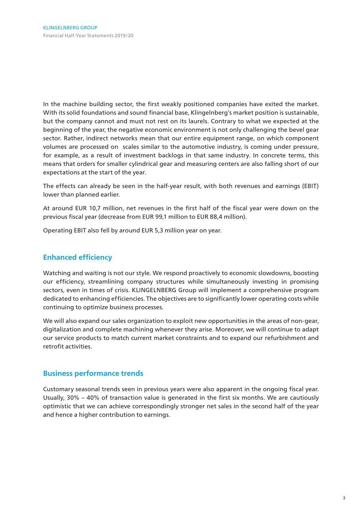In the machine building sector, the first weakly positioned companies have exited the market. With its solid foundations and sound financial base, Klingelnberg's market position is sustainable, but the company cannot and must not rest on its laurels. Contrary to what we expected at the beginning of the year, the negative economic environment is not only challenging the bevel gear sector. Rather, indirect networks mean that our entire equipment range, on which component volumes are processed on scales similar to the automotive industry, is coming under pressure, for example, as a result of investment backlogs in that same industry. In concrete terms, this means that orders for smaller cylindrical gear and measuring centers are also falling short of our expectations at the start of the year.

The effects can already be seen in the half-year result, with both revenues and earnings (EBIT) lower than planned earlier.

At around EUR 10,7 million, net revenues in the first half of the fiscal year were down on the previous fiscal year (decrease from EUR 99,1 million to EUR 88,4 million).

Operating EBIT also fell by around EUR 5,3 million year on year.

## **Enhanced efficiency**

Watching and waiting is not our style. We respond proactively to economic slowdowns, boosting our efficiency, streamlining company structures while simultaneously investing in promising sectors, even in times of crisis. KLINGELNBERG Group will implement a comprehensive program dedicated to enhancing efficiencies. The objectives are to significantly lower operating costs while continuing to optimize business processes.

We will also expand our sales organization to exploit new opportunities in the areas of non-gear, digitalization and complete machining whenever they arise. Moreover, we will continue to adapt our service products to match current market constraints and to expand our refurbishment and retrofit activities.

## **Business performance trends**

Customary seasonal trends seen in previous years were also apparent in the ongoing fiscal year. Usually, 30% – 40% of transaction value is generated in the first six months. We are cautiously optimistic that we can achieve correspondingly stronger net sales in the second half of the year and hence a higher contribution to earnings.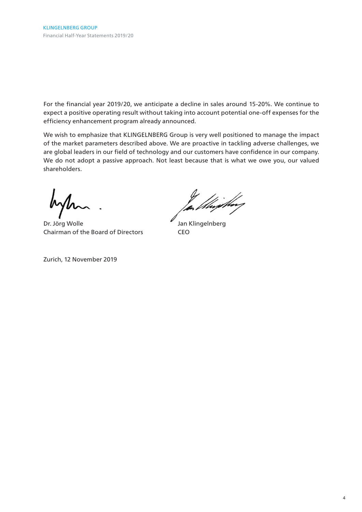For the financial year 2019/20, we anticipate a decline in sales around 15-20%. We continue to expect a positive operating result without taking into account potential one-off expenses for the efficiency enhancement program already announced.

We wish to emphasize that KLINGELNBERG Group is very well positioned to manage the impact of the market parameters described above. We are proactive in tackling adverse challenges, we are global leaders in our field of technology and our customers have confidence in our company. We do not adopt a passive approach. Not least because that is what we owe you, our valued shareholders.

Dr. Jörg Wolle **Jan Klingelnberg** Chairman of the Board of Directors CEO

Zurich, 12 November 2019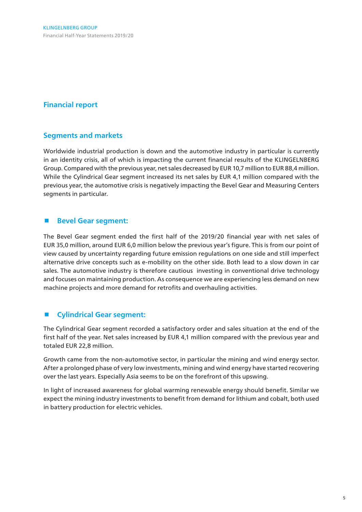# **Financial report**

## **Segments and markets**

Worldwide industrial production is down and the automotive industry in particular is currently in an identity crisis, all of which is impacting the current financial results of the KLINGELNBERG Group. Compared with the previous year, net sales decreased by EUR 10,7 million to EUR 88,4 million. While the Cylindrical Gear segment increased its net sales by EUR 4,1 million compared with the previous year, the automotive crisis is negatively impacting the Bevel Gear and Measuring Centers segments in particular.

## **Bevel Gear segment:**

The Bevel Gear segment ended the first half of the 2019/20 financial year with net sales of EUR 35,0 million, around EUR 6,0 million below the previous year's figure. This is from our point of view caused by uncertainty regarding future emission regulations on one side and still imperfect alternative drive concepts such as e-mobility on the other side. Both lead to a slow down in car sales. The automotive industry is therefore cautious investing in conventional drive technology and focuses on maintaining production. As consequence we are experiencing less demand on new machine projects and more demand for retrofits and overhauling activities.

## **Cylindrical Gear segment:**

The Cylindrical Gear segment recorded a satisfactory order and sales situation at the end of the first half of the year. Net sales increased by EUR 4,1 million compared with the previous year and totaled EUR 22,8 million.

Growth came from the non-automotive sector, in particular the mining and wind energy sector. After a prolonged phase of very low investments, mining and wind energy have started recovering over the last years. Especially Asia seems to be on the forefront of this upswing.

In light of increased awareness for global warming renewable energy should benefit. Similar we expect the mining industry investments to benefit from demand for lithium and cobalt, both used in battery production for electric vehicles.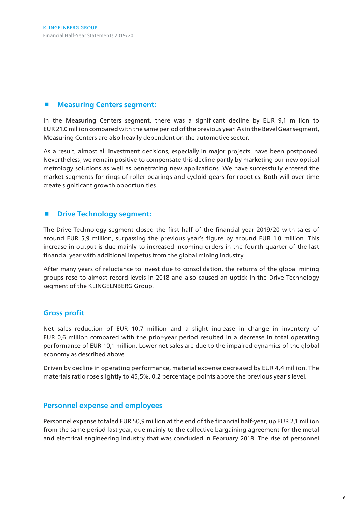## ■ Measuring Centers segment:

In the Measuring Centers segment, there was a significant decline by EUR 9,1 million to EUR 21,0 million compared with the same period of the previous year. As in the Bevel Gear segment, Measuring Centers are also heavily dependent on the automotive sector.

As a result, almost all investment decisions, especially in major projects, have been postponed. Nevertheless, we remain positive to compensate this decline partly by marketing our new optical metrology solutions as well as penetrating new applications. We have successfully entered the market segments for rings of roller bearings and cycloid gears for robotics. Both will over time create significant growth opportunities.

## $\blacksquare$  Drive Technology segment:

The Drive Technology segment closed the first half of the financial year 2019/20 with sales of around EUR 5,9 million, surpassing the previous year's figure by around EUR 1,0 million. This increase in output is due mainly to increased incoming orders in the fourth quarter of the last financial year with additional impetus from the global mining industry.

After many years of reluctance to invest due to consolidation, the returns of the global mining groups rose to almost record levels in 2018 and also caused an uptick in the Drive Technology segment of the KLINGELNBERG Group.

## **Gross profit**

Net sales reduction of EUR 10,7 million and a slight increase in change in inventory of EUR 0,6 million compared with the prior-year period resulted in a decrease in total operating performance of EUR 10,1 million. Lower net sales are due to the impaired dynamics of the global economy as described above.

Driven by decline in operating performance, material expense decreased by EUR 4,4 million. The materials ratio rose slightly to 45,5%, 0,2 percentage points above the previous year's level.

## **Personnel expense and employees**

Personnel expense totaled EUR 50,9 million at the end of the financial half-year, up EUR 2,1 million from the same period last year, due mainly to the collective bargaining agreement for the metal and electrical engineering industry that was concluded in February 2018. The rise of personnel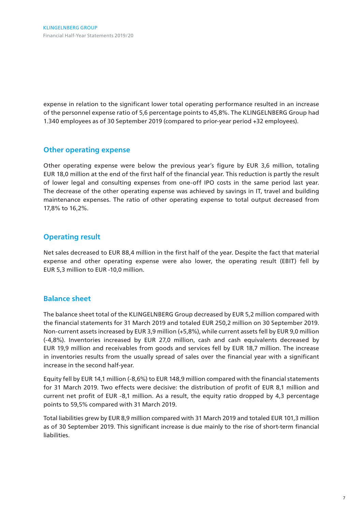expense in relation to the significant lower total operating performance resulted in an increase of the personnel expense ratio of 5,6 percentage points to 45,8%. The KLINGELNBERG Group had 1.340 employees as of 30 September 2019 (compared to prior-year period +32 employees).

## **Other operating expense**

Other operating expense were below the previous year's figure by EUR 3,6 million, totaling EUR 18,0 million at the end of the first half of the financial year. This reduction is partly the result of lower legal and consulting expenses from one-off IPO costs in the same period last year. The decrease of the other operating expense was achieved by savings in IT, travel and building maintenance expenses. The ratio of other operating expense to total output decreased from 17,8% to 16,2%.

## **Operating result**

Net sales decreased to EUR 88,4 million in the first half of the year. Despite the fact that material expense and other operating expense were also lower, the operating result (EBIT) fell by EUR 5,3 million to EUR -10,0 million.

## **Balance sheet**

The balance sheet total of the KLINGELNBERG Group decreased by EUR 5,2 million compared with the financial statements for 31 March 2019 and totaled EUR 250,2 million on 30 September 2019. Non-current assets increased by EUR 3,9 million (+5,8%), while current assets fell by EUR 9,0 million (-4,8%). Inventories increased by EUR 27,0 million, cash and cash equivalents decreased by EUR 19,9 million and receivables from goods and services fell by EUR 18,7 million. The increase in inventories results from the usually spread of sales over the financial year with a significant increase in the second half-year.

Equity fell by EUR 14,1 million (-8,6%) to EUR 148,9 million compared with the financial statements for 31 March 2019. Two effects were decisive: the distribution of profit of EUR 8,1 million and current net profit of EUR -8,1 million. As a result, the equity ratio dropped by 4,3 percentage points to 59,5% compared with 31 March 2019.

Total liabilities grew by EUR 8,9 million compared with 31 March 2019 and totaled EUR 101,3 million as of 30 September 2019. This significant increase is due mainly to the rise of short-term financial liabilities.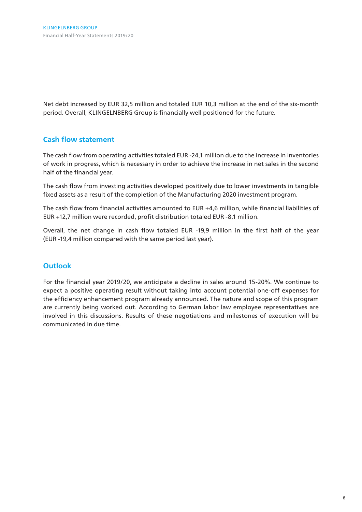Net debt increased by EUR 32,5 million and totaled EUR 10,3 million at the end of the six-month period. Overall, KLINGELNBERG Group is financially well positioned for the future.

## **Cash flow statement**

The cash flow from operating activities totaled EUR -24,1 million due to the increase in inventories of work in progress, which is necessary in order to achieve the increase in net sales in the second half of the financial year.

The cash flow from investing activities developed positively due to lower investments in tangible fixed assets as a result of the completion of the Manufacturing 2020 investment program.

The cash flow from financial activities amounted to EUR +4,6 million, while financial liabilities of EUR +12,7 million were recorded, profit distribution totaled EUR -8,1 million.

Overall, the net change in cash flow totaled EUR -19,9 million in the first half of the year (EUR -19,4 million compared with the same period last year).

# **Outlook**

For the financial year 2019/20, we anticipate a decline in sales around 15-20%. We continue to expect a positive operating result without taking into account potential one-off expenses for the efficiency enhancement program already announced. The nature and scope of this program are currently being worked out. According to German labor law employee representatives are involved in this discussions. Results of these negotiations and milestones of execution will be communicated in due time.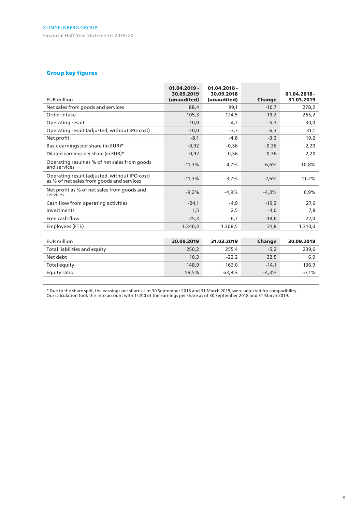#### Group key figures

| <b>EUR</b> million                                                                         | $01.04.2019 -$<br>30.09.2019<br>(unaudited) | $01.04.2018 -$<br>30.09.2018<br>(unaudited) | Change  | $01.04.2018 -$<br>31.03.2019 |
|--------------------------------------------------------------------------------------------|---------------------------------------------|---------------------------------------------|---------|------------------------------|
| Net sales from goods and services                                                          | 88,4                                        | 99.1                                        | $-10.7$ | 278,2                        |
| Order intake                                                                               | 105,3                                       | 124,5                                       | $-19,2$ | 265,2                        |
| Operating result                                                                           | $-10,0$                                     | $-4.7$                                      | $-5,3$  | 30,0                         |
| Operating result (adjusted, without IPO cost)                                              | $-10,0$                                     | $-3,7$                                      | $-6,3$  | 31,1                         |
| Net profit                                                                                 | $-8,1$                                      | $-4.8$                                      | $-3,3$  | 19,2                         |
| Basic earnings per share (in EUR)*                                                         | $-0,92$                                     | $-0,56$                                     | $-0,36$ | 2,20                         |
| Diluted earnings per share (in EUR)*                                                       | $-0,92$                                     | $-0,56$                                     | $-0,36$ | 2,20                         |
| Operating result as % of net sales from goods<br>and services                              | $-11,3%$                                    | $-4.7%$                                     | $-6,6%$ | 10,8%                        |
| Operating result (adjusted, without IPO cost)<br>as % of net sales from goods and services | $-11,3%$                                    | $-3,7%$                                     | $-7,6%$ | 11,2%                        |
| Net profit as % of net sales from goods and<br>services                                    | $-9,2%$                                     | $-4,9%$                                     | $-4,3%$ | 6,9%                         |
| Cash flow from operating activities                                                        | $-24,1$                                     | $-4,9$                                      | $-19,2$ | 27,6                         |
| Investments                                                                                | 1,5                                         | 2,5                                         | $-1,0$  | 7,8                          |
| Free cash flow                                                                             | $-25,3$                                     | $-6,7$                                      | $-18,6$ | 22,0                         |
| Employees (FTE)                                                                            | 1.340,3                                     | 1.308.5                                     | 31,8    | 1.310,0                      |
|                                                                                            |                                             |                                             |         |                              |
| <b>EUR</b> million                                                                         | 30.09.2019                                  | 31.03.2019                                  | Change  | 30.09.2018                   |
| Total liabilities and equity                                                               | 250.2                                       | 255,4                                       | $-5,2$  | 239,6                        |
| Net debt                                                                                   | 10,3                                        | $-22,2$                                     | 32,5    | 6,9                          |
| Total equity                                                                               | 148,9                                       | 163,0                                       | $-14,1$ | 136,9                        |
| Equity ratio                                                                               | 59,5%                                       | 63,8%                                       | $-4,3%$ | 57,1%                        |

\* Due to the share split, the earnings per share as of 30 September 2018 and 31 March 2019, were adjusted for comparibility. Our calculation took this into account with 1/200 of the earnings per share as of 30 September 2018 and 31 March 2019.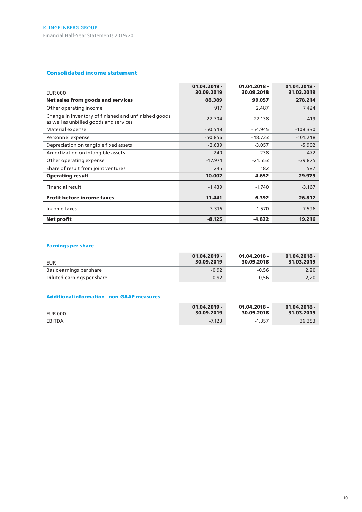#### Consolidated income statement

| <b>EUR 000</b>                                                                                 | $01.04.2019 -$<br>30.09.2019 | $01.04.2018 -$<br>30.09.2018 | $01.04.2018 -$<br>31.03.2019 |
|------------------------------------------------------------------------------------------------|------------------------------|------------------------------|------------------------------|
| Net sales from goods and services                                                              | 88.389                       | 99.057                       | 278.214                      |
| Other operating income                                                                         | 917                          | 2.487                        | 7.424                        |
| Change in inventory of finished and unfinished goods<br>as well as unbilled goods and services | 22.704                       | 22.138                       | $-419$                       |
| Material expense                                                                               | $-50.548$                    | $-54.945$                    | $-108.330$                   |
| Personnel expense                                                                              | $-50.856$                    | $-48.723$                    | $-101.248$                   |
| Depreciation on tangible fixed assets                                                          | $-2.639$                     | $-3.057$                     | $-5.902$                     |
| Amortization on intangible assets                                                              | $-240$                       | $-238$                       | $-472$                       |
| Other operating expense                                                                        | $-17.974$                    | $-21.553$                    | $-39.875$                    |
| Share of result from joint ventures                                                            | 245                          | 182                          | 587                          |
| <b>Operating result</b>                                                                        | $-10.002$                    | $-4.652$                     | 29.979                       |
| Financial result                                                                               | $-1.439$                     | $-1.740$                     | $-3.167$                     |
| <b>Profit before income taxes</b>                                                              | $-11.441$                    | $-6.392$                     | 26,812                       |
| Income taxes                                                                                   | 3.316                        | 1.570                        | $-7.596$                     |
| <b>Net profit</b>                                                                              | $-8.125$                     | $-4.822$                     | 19.216                       |

#### Earnings per share

| EUR                        | $01.04.2019 -$<br>30.09.2019 | $01.04.2018 -$<br>30.09.2018 | $01.04.2018 -$<br>31.03.2019 |
|----------------------------|------------------------------|------------------------------|------------------------------|
| Basic earnings per share   | $-0.92$                      | $-0.56$                      | 2,20                         |
| Diluted earnings per share | $-0.92$                      | $-0.56$                      | 2,20                         |

#### Additional information - non-GAAP measures

| EUR 000 | $01.04.2019 -$ | $01.04.2018 -$ | $01.04.2018 -$ |
|---------|----------------|----------------|----------------|
|         | 30.09.2019     | 30.09.2018     | 31.03.2019     |
| EBITDA  | $-7.123$       | $-1.357$       | 36.353         |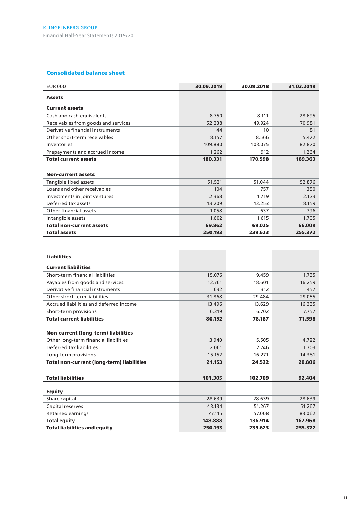#### Consolidated balance sheet

| <b>EUR 000</b>                      | 30.09.2019 | 30.09.2018 | 31.03.2019 |
|-------------------------------------|------------|------------|------------|
| <b>Assets</b>                       |            |            |            |
| <b>Current assets</b>               |            |            |            |
| Cash and cash equivalents           | 8.750      | 8.111      | 28.695     |
| Receivables from goods and services | 52.238     | 49.924     | 70.981     |
| Derivative financial instruments    | 44         | 10         | 81         |
| Other short-term receivables        | 8.157      | 8.566      | 5.472      |
| Inventories                         | 109.880    | 103.075    | 82.870     |
| Prepayments and accrued income      | 1.262      | 912        | 1.264      |
| <b>Total current assets</b>         | 180.331    | 170.598    | 189.363    |
|                                     |            |            |            |
| <b>Non-current assets</b>           |            |            |            |
| Tangible fixed assets               | 51.521     | 51.044     | 52.876     |
| Loans and other receivables         | 104        | 757        | 350        |
| Investments in joint ventures       | 2.368      | 1.719      | 2.123      |
| Deferred tax assets                 | 13.209     | 13.253     | 8.159      |
| Other financial assets              | 1.058      | 637        | 796        |
| Intangible assets                   | 1.602      | 1.615      | 1.705      |
| <b>Total non-current assets</b>     | 69.862     | 69.025     | 66,009     |
| <b>Total assets</b>                 | 250.193    | 239.623    | 255.372    |

| <b>Liabilities</b>                               |         |         |         |
|--------------------------------------------------|---------|---------|---------|
| <b>Current liabilities</b>                       |         |         |         |
| Short-term financial liabilities                 | 15.076  | 9.459   | 1.735   |
| Payables from goods and services                 | 12.761  | 18.601  | 16.259  |
| Derivative financial instruments                 | 632     | 312     | 457     |
| Other short-term liabilities                     | 31.868  | 29.484  | 29.055  |
| Accrued liabilities and deferred income          | 13.496  | 13.629  | 16.335  |
| Short-term provisions                            | 6.319   | 6.702   | 7.757   |
| <b>Total current liabilities</b>                 | 80.152  | 78.187  | 71.598  |
|                                                  |         |         |         |
| <b>Non-current (long-term) liabilities</b>       |         |         |         |
| Other long-term financial liabilities            | 3.940   | 5.505   | 4.722   |
| Deferred tax liabilities                         | 2.061   | 2.746   | 1.703   |
| Long-term provisions                             | 15.152  | 16.271  | 14.381  |
| <b>Total non-current (long-term) liabilities</b> | 21.153  | 24.522  | 20,806  |
|                                                  |         |         |         |
| <b>Total liabilities</b>                         | 101.305 | 102.709 | 92.404  |
|                                                  |         |         |         |
| <b>Equity</b>                                    |         |         |         |
| Share capital                                    | 28.639  | 28.639  | 28.639  |
| Capital reserves                                 | 43.134  | 51.267  | 51.267  |
| Retained earnings                                | 77.115  | 57.008  | 83.062  |
| <b>Total equity</b>                              | 148.888 | 136.914 | 162.968 |
| <b>Total liabilities and equity</b>              | 250.193 | 239.623 | 255.372 |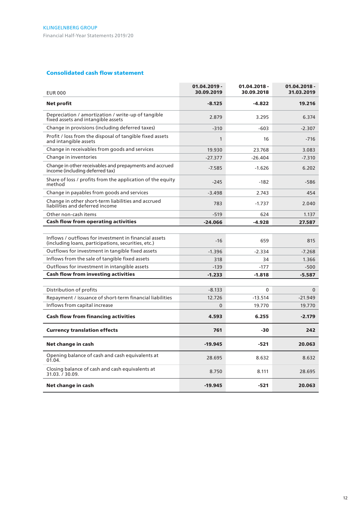#### Consolidated cash flow statement

| <b>EUR 000</b>                                                                                               | $01.04.2019 -$<br>30.09.2019 | 01.04.2018 -<br>30.09.2018 | $01.04.2018 -$<br>31.03.2019 |
|--------------------------------------------------------------------------------------------------------------|------------------------------|----------------------------|------------------------------|
| <b>Net profit</b>                                                                                            | $-8.125$                     | $-4.822$                   | 19.216                       |
| Depreciation / amortization / write-up of tangible<br>fixed assets and intangible assets                     | 2.879                        | 3.295                      | 6.374                        |
| Change in provisions (including deferred taxes)                                                              | $-310$                       | $-603$                     | $-2.307$                     |
| Profit / loss from the disposal of tangible fixed assets<br>and intangible assets                            | $\mathbf{1}$                 | 16                         | $-716$                       |
| Change in receivables from goods and services                                                                | 19.930                       | 23.768                     | 3.083                        |
| Change in inventories                                                                                        | $-27.377$                    | $-26.404$                  | $-7.310$                     |
| Change in other receivables and prepayments and accrued<br>income (including deferred tax)                   | $-7.585$                     | $-1.626$                   | 6.202                        |
| Share of loss / profits from the application of the equity<br>method                                         | $-245$                       | $-182$                     | -586                         |
| Change in payables from goods and services                                                                   | $-3.498$                     | 2.743                      | 454                          |
| Change in other short-term liabilities and accrued<br>liabilities and deferred income                        | 783                          | $-1.737$                   | 2.040                        |
| Other non-cash items                                                                                         | $-519$                       | 624                        | 1.137                        |
| <b>Cash flow from operating activities</b>                                                                   | $-24.066$                    | $-4.928$                   | 27.587                       |
|                                                                                                              |                              |                            |                              |
| Inflows / outflows for investment in financial assets<br>(including loans, participations, securities, etc.) | $-16$                        | 659                        | 815                          |
| Outflows for investment in tangible fixed assets                                                             | $-1.396$                     | $-2.334$                   | $-7.268$                     |
| Inflows from the sale of tangible fixed assets                                                               | 318                          | 34                         | 1.366                        |
| Outflows for investment in intangible assets                                                                 | $-139$                       | $-177$                     | $-500$                       |
| <b>Cash flow from investing activities</b>                                                                   | $-1.233$                     | $-1.818$                   | $-5.587$                     |
|                                                                                                              |                              |                            |                              |
| Distribution of profits                                                                                      | $-8.133$                     | 0                          | $\mathbf{0}$                 |
| Repayment / issuance of short-term financial liabilities                                                     | 12.726                       | $-13.514$                  | $-21.949$                    |
| Inflows from capital increase                                                                                | $\mathbf{0}$                 | 19.770                     | 19.770                       |
| <b>Cash flow from financing activities</b>                                                                   | 4.593                        | 6.255                      | $-2.179$                     |
| <b>Currency translation effects</b>                                                                          | 761                          | -30                        | 242                          |
| Net change in cash                                                                                           | $-19.945$                    | $-521$                     | 20.063                       |
| Opening balance of cash and cash equivalents at<br>01.04.                                                    | 28.695                       | 8.632                      | 8.632                        |
| Closing balance of cash and cash equivalents at<br>31.03. 7 30.09.                                           | 8.750                        | 8.111                      | 28.695                       |
| Net change in cash                                                                                           | $-19.945$                    | $-521$                     | 20.063                       |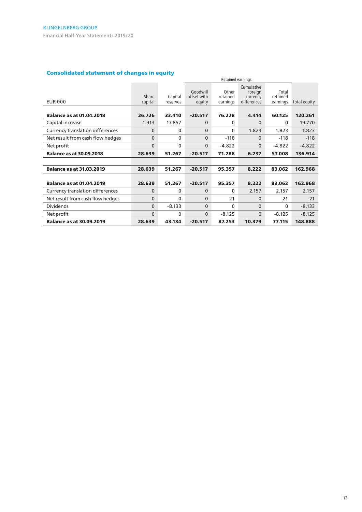## Consolidated statement of changes in equity

| Consolidated statement of changes in equity<br>Retained earnings |                  |                     |                                   |                               |                                                  |                               |              |  |  |  |
|------------------------------------------------------------------|------------------|---------------------|-----------------------------------|-------------------------------|--------------------------------------------------|-------------------------------|--------------|--|--|--|
| <b>EUR 000</b>                                                   | Share<br>capital | Capital<br>reserves | Goodwill<br>offset with<br>equity | Other<br>retained<br>earnings | Cumulative<br>foreign<br>currency<br>differences | Total<br>retained<br>earnings | Total equity |  |  |  |
| <b>Balance as at 01.04.2018</b>                                  | 26.726           | 33,410              | $-20.517$                         | 76.228                        | 4.414                                            | 60.125                        | 120.261      |  |  |  |
| Capital increase                                                 | 1.913            | 17.857              | $\mathbf 0$                       | $\mathbf{0}$                  | $\Omega$                                         | 0                             | 19.770       |  |  |  |
| <b>Currency translation differences</b>                          | 0                | $\mathbf{0}$        | $\Omega$                          | $\mathbf{0}$                  | 1.823                                            | 1.823                         | 1.823        |  |  |  |
| Net result from cash flow hedges                                 | 0                | $\mathbf{0}$        | $\mathbf 0$                       | $-118$                        | $\Omega$                                         | $-118$                        | $-118$       |  |  |  |
| Net profit                                                       | 0                | 0                   | $\mathbf 0$                       | $-4.822$                      | $\Omega$                                         | $-4.822$                      | $-4.822$     |  |  |  |
| <b>Balance as at 30.09.2018</b>                                  | 28.639           | 51.267              | $-20.517$                         | 71.288                        | 6.237                                            | 57.008                        | 136.914      |  |  |  |
|                                                                  |                  |                     |                                   |                               |                                                  |                               |              |  |  |  |
| <b>Balance as at 31.03.2019</b>                                  | 28,639           | 51.267              | $-20.517$                         | 95.357                        | 8.222                                            | 83.062                        | 162.968      |  |  |  |
| <b>Balance as at 01.04.2019</b>                                  | 28,639           | 51.267              | $-20.517$                         | 95.357                        | 8.222                                            | 83.062                        | 162.968      |  |  |  |
| Currency translation differences                                 | $\Omega$         | 0                   | $\Omega$                          | $\mathbf{0}$                  | 2.157                                            | 2.157                         | 2.157        |  |  |  |
| Net result from cash flow hedges                                 | 0                | 0                   | $\mathbf 0$                       | 21                            | 0                                                | 21                            | 21           |  |  |  |
| <b>Dividends</b>                                                 | $\Omega$         | $-8.133$            | $\Omega$                          | $\Omega$                      | $\Omega$                                         | $\mathbf{0}$                  | $-8.133$     |  |  |  |
| Net profit                                                       | $\mathbf{0}$     | 0                   | $\mathbf{0}$                      | $-8.125$                      | $\Omega$                                         | $-8.125$                      | $-8.125$     |  |  |  |
| <b>Balance as at 30.09.2019</b>                                  | 28.639           | 43.134              | $-20.517$                         | 87.253                        | 10.379                                           | 77.115                        | 148.888      |  |  |  |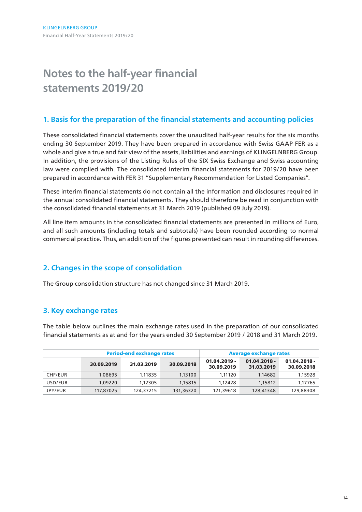# **Notes to the half-year financial statements 2019/20**

# **1. Basis for the preparation of the financial statements and accounting policies**

These consolidated financial statements cover the unaudited half-year results for the six months ending 30 September 2019. They have been prepared in accordance with Swiss GAAP FER as a whole and give a true and fair view of the assets, liabilities and earnings of KLINGELNBERG Group. In addition, the provisions of the Listing Rules of the SIX Swiss Exchange and Swiss accounting law were complied with. The consolidated interim financial statements for 2019/20 have been prepared in accordance with FER 31 "Supplementary Recommendation for Listed Companies".

These interim financial statements do not contain all the information and disclosures required in the annual consolidated financial statements. They should therefore be read in conjunction with the consolidated financial statements at 31 March 2019 (published 09 July 2019).

All line item amounts in the consolidated financial statements are presented in millions of Euro, and all such amounts (including totals and subtotals) have been rounded according to normal commercial practice. Thus, an addition of the figures presented can result in rounding differences.

# **2. Changes in the scope of consolidation**

The Group consolidation structure has not changed since 31 March 2019.

# **3. Key exchange rates**

The table below outlines the main exchange rates used in the preparation of our consolidated financial statements as at and for the years ended 30 September 2019 / 2018 and 31 March 2019.

|                |            | <b>Period-end exchange rates</b> |            | <b>Average exchange rates</b> |                              |                              |
|----------------|------------|----------------------------------|------------|-------------------------------|------------------------------|------------------------------|
|                | 30.09.2019 | 31.03.2019                       | 30.09.2018 | $01.04.2019 -$<br>30.09.2019  | $01.04.2018 -$<br>31.03.2019 | $01.04.2018 -$<br>30.09.2018 |
| CHF/EUR        | 1.08695    | 1.11835                          | 1.13100    | 1.11120                       | 1.14682                      | 1,15928                      |
| USD/EUR        | 1,09220    | 1.12305                          | 1.15815    | 1.12428                       | 1.15812                      | 1,17765                      |
| <b>JPY/EUR</b> | 117,87025  | 124,37215                        | 131,36320  | 121,39618                     | 128,41348                    | 129,88308                    |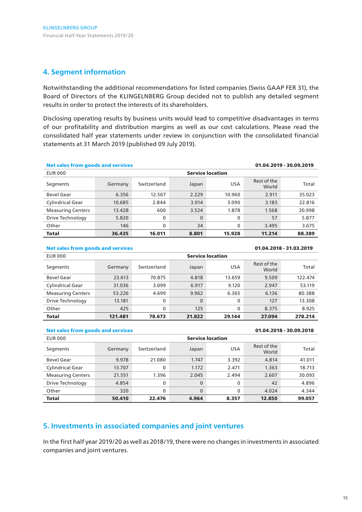## **4. Segment information**

Notwithstanding the additional recommendations for listed companies (Swiss GAAP FER 31), the Board of Directors of the KLINGELNBERG Group decided not to publish any detailed segment results in order to protect the interests of its shareholders.

Disclosing operating results by business units would lead to competitive disadvantages in terms of our profitability and distribution margins as well as our cost calculations. Please read the consolidated half year statements under review in conjunction with the consolidated financial statements at 31 March 2019 (published 09 July 2019).

| <b>Net sales from goods and services</b><br>01.04.2019 - 30.09.2019 |         |             |          |                         |                      |         |  |  |
|---------------------------------------------------------------------|---------|-------------|----------|-------------------------|----------------------|---------|--|--|
| <b>Service location</b><br><b>EUR 000</b>                           |         |             |          |                         |                      |         |  |  |
| Segments                                                            | Germany | Switzerland | Japan    | <b>USA</b>              | Rest of the<br>World | Total   |  |  |
| Bevel Gear                                                          | 6.356   | 12.567      | 2.229    | 10.960                  | 2.911                | 35.023  |  |  |
| Cylindrical Gear                                                    | 10.685  | 2.844       | 3.014    | 3.090                   | 3.183                | 22.816  |  |  |
| <b>Measuring Centers</b>                                            | 13.428  | 600         | 3.524    | 1.878                   | 1.568                | 20.998  |  |  |
| Drive Technology                                                    | 5.820   | 0           | $\Omega$ | 0                       | 57                   | 5.877   |  |  |
| Other                                                               | 146     | 0           | 34       | 0                       | 3.495                | 3.675   |  |  |
| Total                                                               | 36.435  | 16.011      | 8.801    | 15.928                  | 11.214               | 88.389  |  |  |
| <b>Net sales from goods and services</b><br>01.04.2018 - 31.03.2019 |         |             |          |                         |                      |         |  |  |
| <b>EUR 000</b>                                                      |         |             |          | <b>Service location</b> |                      |         |  |  |
| Segments                                                            | Germany | Switzerland | Japan    | <b>USA</b>              | Rest of the<br>World | Total   |  |  |
| <b>Bevel Gear</b>                                                   | 23.613  | 70.875      | 4.818    | 13.659                  | 9.509                | 122.474 |  |  |
| Cylindrical Gear                                                    | 31.036  | 3.099       | 6.917    | 9.120                   | 2.947                | 53.119  |  |  |
| <b>Measuring Centers</b>                                            | 53.226  | 4.699       | 9.962    | 6.365                   | 6.136                | 80.388  |  |  |

| Drive Technology<br>13.181<br>127<br>Other<br>425<br>125<br>8.375<br><b>Total</b><br>121.481<br>78.673<br>29.144<br>27.094<br>21.822<br><b>Net sales from goods and services</b><br>01.04.2018 - 30.09.2018 | ELIP 000 |  | Convice Incotion |         |
|-------------------------------------------------------------------------------------------------------------------------------------------------------------------------------------------------------------|----------|--|------------------|---------|
|                                                                                                                                                                                                             |          |  |                  |         |
|                                                                                                                                                                                                             |          |  |                  | 278.214 |
|                                                                                                                                                                                                             |          |  |                  | 8.925   |
|                                                                                                                                                                                                             |          |  |                  | 13.308  |

| <b>EUR 000</b>           | <b>Service location</b> |             |       |            |                      |        |  |  |
|--------------------------|-------------------------|-------------|-------|------------|----------------------|--------|--|--|
| Segments                 | Germany                 | Switzerland | Japan | <b>USA</b> | Rest of the<br>World | Total  |  |  |
| Bevel Gear               | 9.978                   | 21.080      | 1.747 | 3.392      | 4.814                | 41.011 |  |  |
| <b>Cylindrical Gear</b>  | 13.707                  | 0           | 1.172 | 2.471      | 1.363                | 18.713 |  |  |
| <b>Measuring Centers</b> | 21.551                  | 1.396       | 2.045 | 2.494      | 2.607                | 30.093 |  |  |
| Drive Technology         | 4.854                   | 0           | 0     | 0          | 42                   | 4.896  |  |  |
| Other                    | 320                     | 0           | 0     | 0          | 4.024                | 4.344  |  |  |
| <b>Total</b>             | 50.410                  | 22.476      | 4.964 | 8.357      | 12.850               | 99.057 |  |  |

# **5. Investments in associated companies and joint ventures**

In the first half year 2019/20 as well as 2018/19, there were no changes in investments in associated companies and joint ventures.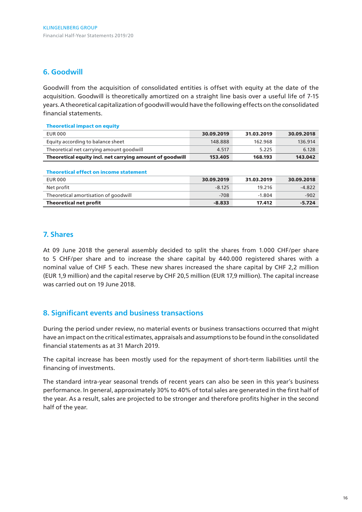## **6. Goodwill**

Goodwill from the acquisition of consolidated entities is offset with equity at the date of the acquisition. Goodwill is theoretically amortized on a straight line basis over a useful life of 7-15 years. A theoretical capitalization of goodwill would have the following effects on the consolidated financial statements.

| <b>Theoretical impact on equity</b>                      |            |            |            |
|----------------------------------------------------------|------------|------------|------------|
| EUR 000                                                  | 30.09.2019 | 31.03.2019 | 30.09.2018 |
| Equity according to balance sheet                        | 148.888    | 162.968    | 136.914    |
| Theoretical net carrying amount goodwill                 | 4.517      | 5.225      | 6.128      |
| Theoretical equity incl. net carrying amount of goodwill | 153.405    | 168.193    | 143.042    |

| <b>Theoretical effect on income statement</b> |            |            |            |  |
|-----------------------------------------------|------------|------------|------------|--|
| EUR 000                                       | 30.09.2019 | 31.03.2019 | 30.09.2018 |  |
| Net profit                                    | $-8.125$   | 19.216     | $-4.822$   |  |
| Theoretical amortisation of goodwill          | $-708$     | $-1.804$   | $-902$     |  |
| <b>Theoretical net profit</b>                 | $-8.833$   | 17.412     | $-5.724$   |  |

## **7. Shares**

At 09 June 2018 the general assembly decided to split the shares from 1.000 CHF/per share to 5 CHF/per share and to increase the share capital by 440.000 registered shares with a nominal value of CHF 5 each. These new shares increased the share capital by CHF 2,2 million (EUR 1,9 million) and the capital reserve by CHF 20,5 million (EUR 17,9 million). The capital increase was carried out on 19 June 2018.

## **8. Significant events and business transactions**

During the period under review, no material events or business transactions occurred that might have an impact on the critical estimates, appraisals and assumptions to be found in the consolidated financial statements as at 31 March 2019.

The capital increase has been mostly used for the repayment of short-term liabilities until the financing of investments.

The standard intra-year seasonal trends of recent years can also be seen in this year's business performance. In general, approximately 30% to 40% of total sales are generated in the first half of the year. As a result, sales are projected to be stronger and therefore profits higher in the second half of the year.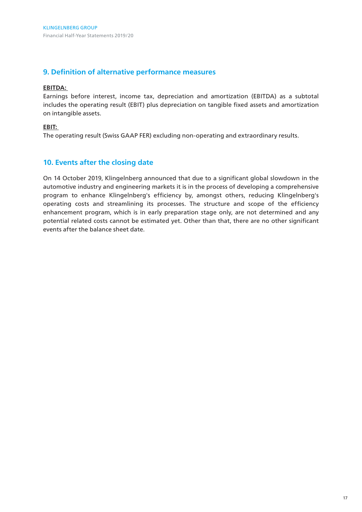## **9. Definition of alternative performance measures**

#### **EBITDA:**

Earnings before interest, income tax, depreciation and amortization (EBITDA) as a subtotal includes the operating result (EBIT) plus depreciation on tangible fixed assets and amortization on intangible assets.

#### **EBIT:**

The operating result (Swiss GAAP FER) excluding non-operating and extraordinary results.

## **10. Events after the closing date**

On 14 October 2019, Klingelnberg announced that due to a significant global slowdown in the automotive industry and engineering markets it is in the process of developing a comprehensive program to enhance Klingelnberg's efficiency by, amongst others, reducing Klingelnberg's operating costs and streamlining its processes. The structure and scope of the efficiency enhancement program, which is in early preparation stage only, are not determined and any potential related costs cannot be estimated yet. Other than that, there are no other significant events after the balance sheet date.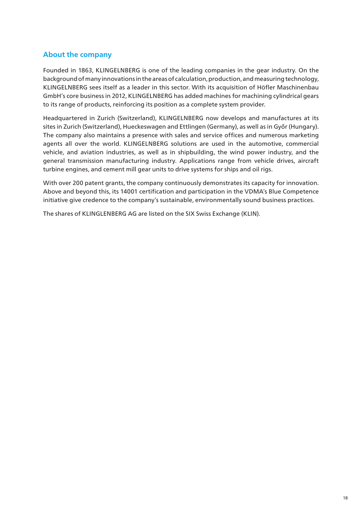# **About the company**

Founded in 1863, KLINGELNBERG is one of the leading companies in the gear industry. On the background of many innovations in the areas of calculation, production, and measuring technology, KLINGELNBERG sees itself as a leader in this sector. With its acquisition of Höfler Maschinenbau GmbH's core business in 2012, KLINGELNBERG has added machines for machining cylindrical gears to its range of products, reinforcing its position as a complete system provider.

Headquartered in Zurich (Switzerland), KLINGELNBERG now develops and manufactures at its sites in Zurich (Switzerland), Hueckeswagen and Ettlingen (Germany), as well as in Győr (Hungary). The company also maintains a presence with sales and service offices and numerous marketing agents all over the world. KLINGELNBERG solutions are used in the automotive, commercial vehicle, and aviation industries, as well as in shipbuilding, the wind power industry, and the general transmission manufacturing industry. Applications range from vehicle drives, aircraft turbine engines, and cement mill gear units to drive systems for ships and oil rigs.

With over 200 patent grants, the company continuously demonstrates its capacity for innovation. Above and beyond this, its 14001 certification and participation in the VDMA's Blue Competence initiative give credence to the company's sustainable, environmentally sound business practices.

The shares of KLINGLENBERG AG are listed on the SIX Swiss Exchange (KLIN).